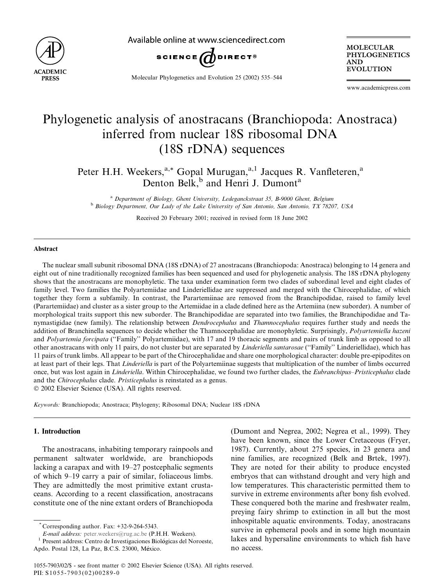

Available online at www.sciencedirect.com



MOLECULAR PHYLOGENETICS AND EVOLUTION

Molecular Phylogenetics and Evolution 25 (2002) 535–544

www.academicpress.com

# Phylogenetic analysis of anostracans (Branchiopoda: Anostraca) inferred from nuclear 18S ribosomal DNA (18S rDNA) sequences

Peter H.H. Weekers,<sup>a,\*</sup> Gopal Murugan,<sup>a,1</sup> Jacques R. Vanfleteren,<sup>a</sup> Denton Belk,<sup>b</sup> and Henri J. Dumont<sup>a</sup>

<sup>a</sup> Department of Biology, Ghent University, Ledeganckstraat 35, B-9000 Ghent, Belgium <sup>b</sup> Biology Department, Our Lady of the Lake University of San Antonio, San Antonio, TX 78207, USA

Received 20 February 2001; received in revised form 18 June 2002

## Abstract

The nuclear small subunit ribosomal DNA (18S rDNA) of 27 anostracans (Branchiopoda: Anostraca) belonging to 14 genera and eight out of nine traditionally recognized families has been sequenced and used for phylogenetic analysis. The 18S rDNA phylogeny shows that the anostracans are monophyletic. The taxa under examination form two clades of subordinal level and eight clades of family level. Two families the Polyartemiidae and Linderiellidae are suppressed and merged with the Chirocephalidae, of which together they form a subfamily. In contrast, the Parartemiinae are removed from the Branchipodidae, raised to family level (Parartemiidae) and cluster as a sister group to the Artemiidae in a clade defined here as the Artemiina (new suborder). A number of morphological traits support this new suborder. The Branchipodidae are separated into two families, the Branchipodidae and Tanymastigidae (new family). The relationship between *Dendrocephalus* and *Thamnocephalus* requires further study and needs the addition of Branchinella sequences to decide whether the Thamnocephalidae are monophyletic. Surprisingly, Polyartemiella hazeni and Polyartemia forcipata ("Family" Polyartemiidae), with 17 and 19 thoracic segments and pairs of trunk limb as opposed to all other anostracans with only 11 pairs, do not cluster but are separated by *Linderiella santarosae* ("Family" Linderiellidae), which has 11 pairs of trunk limbs. All appear to be part of the Chirocephalidae and share one morphological character: double pre-epipodites on at least part of their legs. That *Linderiella* is part of the Polyartemiinae suggests that multiplication of the number of limbs occurred once, but was lost again in Linderiella. Within Chirocephalidae, we found two further clades, the Eubranchipus-Pristicephalus clade and the Chirocephalus clade. Pristicephalus is reinstated as a genus.

2002 Elsevier Science (USA). All rights reserved.

Keywords: Branchiopoda; Anostraca; Phylogeny; Ribosomal DNA; Nuclear 18S rDNA

## 1. Introduction

The anostracans, inhabiting temporary rainpools and permanent saltwater worldwide, are branchiopods lacking a carapax and with 19–27 postcephalic segments of which 9–19 carry a pair of similar, foliaceous limbs. They are admittedly the most primitive extant crustaceans. According to a recent classification, anostracans constitute one of the nine extant orders of Branchiopoda

\* Corresponding author. Fax: +32-9-264-5343.

(Dumont and Negrea, 2002; Negrea et al., 1999). They have been known, since the Lower Cretaceous (Fryer, 1987). Currently, about 275 species, in 23 genera and nine families, are recognized (Belk and Brtek, 1997). They are noted for their ability to produce encysted embryos that can withstand drought and very high and low temperatures. This characteristic permitted them to survive in extreme environments after bony fish evolved. These conquered both the marine and freshwater realm, preying fairy shrimp to extinction in all but the most inhospitable aquatic environments. Today, anostracans survive in ephemeral pools and in some high mountain lakes and hypersaline environments to which fish have no access.

E-mail address: [peter.weekers@rug.ac.be](mail to: peter.weekers@rug.ac.be) (P.H.H. Weekers). <sup>1</sup> Present address: Centro de Investigaciones Biologicas del Noroeste, Apdo. Postal 128, La Paz, B.C.S. 23000, Mexico.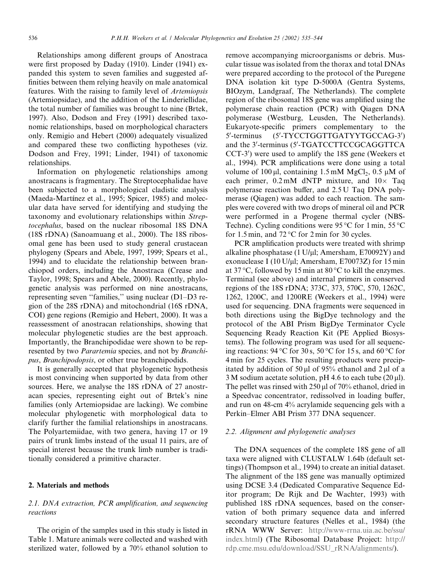Relationships among different groups of Anostraca were first proposed by Daday (1910). Linder (1941) expanded this system to seven families and suggested affinities between them relying heavily on male anatomical features. With the raising to family level of Artemiopsis (Artemiopsidae), and the addition of the Linderiellidae, the total number of families was brought to nine (Brtek, 1997). Also, Dodson and Frey (1991) described taxonomic relationships, based on morphological characters only. Remigio and Hebert (2000) adequately visualized and compared these two conflicting hypotheses (viz. Dodson and Frey, 1991; Linder, 1941) of taxonomic relationships.

Information on phylogenetic relationships among anostracans is fragmentary. The Streptocephalidae have been subjected to a morphological cladistic analysis (Maeda-Martínez et al., 1995; Spicer, 1985) and molecular data have served for identifying and studying the taxonomy and evolutionary relationships within Streptocephalus, based on the nuclear ribosomal 18S DNA (18S rDNA) (Sanoamuang et al., 2000). The 18S ribosomal gene has been used to study general crustacean phylogeny (Spears and Abele, 1997, 1999; Spears et al., 1994) and to elucidate the relationship between branchiopod orders, including the Anostraca (Crease and Taylor, 1998; Spears and Abele, 2000). Recently, phylogenetic analysis was performed on nine anostracans, representing seven ''families,'' using nuclear (D1–D3 region of the 28S rDNA) and mitochondrial (16S rDNA, COI) gene regions (Remigio and Hebert, 2000). It was a reassessment of anostracan relationships, showing that molecular phylogenetic studies are the best approach. Importantly, the Branchipodidae were shown to be represented by two Parartemia species, and not by Branchipus, Branchipodopsis, or other true branchipodids.

It is generally accepted that phylogenetic hypothesis is most convincing when supported by data from other sources. Here, we analyse the 18S rDNA of 27 anostracan species, representing eight out of Brtek's nine families (only Artemiopsidae are lacking). We combine molecular phylogenetic with morphological data to clarify further the familial relationships in anostracans. The Polyartemiidae, with two genera, having 17 or 19 pairs of trunk limbs instead of the usual 11 pairs, are of special interest because the trunk limb number is traditionally considered a primitive character.

## 2. Materials and methods

# 2.1. DNA extraction, PCR amplification, and sequencing reactions

The origin of the samples used in this study is listed in Table 1. Mature animals were collected and washed with sterilized water, followed by a 70% ethanol solution to remove accompanying microorganisms or debris. Muscular tissue was isolated from the thorax and total DNAs were prepared according to the protocol of the Puregene DNA isolation kit type D-5000A (Gentra Systems, BIOzym, Landgraaf, The Netherlands). The complete region of the ribosomal 18S gene was amplified using the polymerase chain reaction (PCR) with Qiagen DNA polymerase (Westburg, Leusden, The Netherlands). Eukaryote-specific primers complementary to the  $5'$ -terminus  $(5'$ -TYCCTGGTTGATYYTGCCAG-3') and the 3'-terminus (5'-TGATCCTTCCGCAGGTTCA CCT-3') were used to amplify the 18S gene (Weekers et al., 1994). PCR amplifications were done using a total volume of 100 µl, containing 1.5 mM MgCl<sub>2</sub>, 0.5 µM of each primer,  $0.2 \text{ mM}$  dNTP mixture, and  $10 \times$  Taq polymerase reaction buffer, and 2.5 U Taq DNA polymerase (Qiagen) was added to each reaction. The samples were covered with two drops of mineral oil and PCR were performed in a Progene thermal cycler (NBS-Techne). Cycling conditions were  $95^{\circ}$ C for 1 min,  $55^{\circ}$ C for 1.5 min, and  $72^{\circ}$ C for 2 min for 30 cycles.

PCR amplification products were treated with shrimp alkaline phosphatase (1  $U/\mu$ l; Amersham, E70092Y) and exonuclease I (10 U/µl; Amersham, E70073Z) for 15 min at 37 °C, followed by 15 min at 80 °C to kill the enzymes. Terminal (see above) and internal primers in conserved regions of the 18S rDNA; 373C, 373, 570C, 570, 1262C, 1262, 1200C, and 1200RE (Weekers et al., 1994) were used for sequencing. DNA fragments were sequenced in both directions using the BigDye technology and the protocol of the ABI Prism BigDye Terminator Cycle Sequencing Ready Reaction Kit (PE Applied Biosystems). The following program was used for all sequencing reactions: 94 °C for 30 s, 50 °C for 15 s, and 60 °C for 4 min for 25 cycles. The resulting products were precipitated by addition of 50  $\mu$ l of 95% ethanol and 2  $\mu$ l of a  $3 M$  sodium acetate solution, pH 4.6 to each tube (20  $\mu$ l). The pellet was rinsed with  $250 \mu$  of 70% ethanol, dried in a Speedvac concentrator, redissolved in loading buffer, and run on 48-cm 4% acrylamide sequencing gels with a Perkin–Elmer ABI Prism 377 DNA sequencer.

#### 2.2. Alignment and phylogenetic analyses

The DNA sequences of the complete 18S gene of all taxa were aligned with CLUSTALW 1.64b (default settings) (Thompson et al., 1994) to create an initial dataset. The alignment of the 18S gene was manually optimized using DCSE 3.4 (Dedicated Comparative Sequence Editor program; De Rijk and De Wachter, 1993) with published 18S rDNA sequences, based on the conservation of both primary sequence data and inferred secondary structure features (Nelles et al., 1984) (the rRNA WWW Server: [http://www-rrna.uia.ac.be/ssu/](http://www-rrna.uia.ac.be/ssu/index.html) [index.html](http://www-rrna.uia.ac.be/ssu/index.html)) (The Ribosomal Database Project: [http://](http://rdp.cme.msu.edu/download/SSU_rRNA/alignments/) [rdp.cme.msu.edu/download/SSU\\_rRNA/alignments/](http://rdp.cme.msu.edu/download/SSU_rRNA/alignments/)).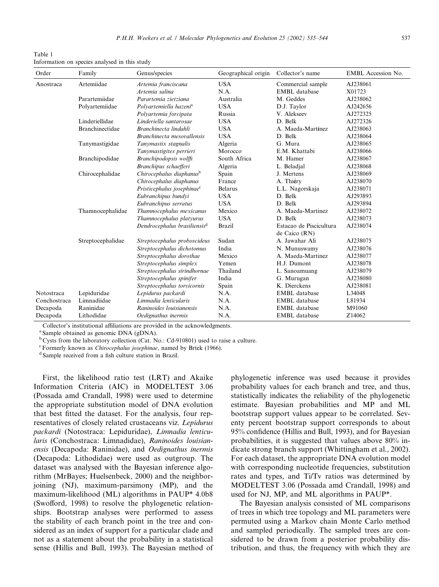Table 1 Information on species analysed in this study

| Order                   | Family                 | Genus/species                            | Geographical origin | Collector's name        | <b>EMBL</b> Accession No. |  |
|-------------------------|------------------------|------------------------------------------|---------------------|-------------------------|---------------------------|--|
| Artemiidae<br>Anostraca |                        | Artemia franciscana                      | <b>USA</b>          | Commercial sample       | AJ238061                  |  |
|                         |                        | Artemia salina                           | N.A.                | <b>EMBL</b> database    | X01723                    |  |
|                         | Parartemiidae          | Parartemia zietziana                     | Australia           | M. Geddes               |                           |  |
|                         | Polyartemiidae         | Polvartemiella hazeni <sup>a</sup>       | <b>USA</b>          | D.J. Taylor             | AJ242656                  |  |
|                         |                        | Polyartemia forcipata                    | Russia              | V. Alekseev             | AJ272325                  |  |
|                         | Linderiellidae         | Linderiella santarosae                   | <b>USA</b>          | D. Belk                 | AJ272326                  |  |
|                         | <b>Branchinectidae</b> | Branchinecta lindahli                    | <b>USA</b>          | A. Maeda-Martínez       | AJ238063                  |  |
|                         |                        | Branchinecta mesovallensis               | <b>USA</b>          | D. Belk                 | AJ238064                  |  |
|                         | Tanymastigidae         | Tanymastix stagnalis                     | Algeria             | G. Mura                 | AJ238065                  |  |
|                         |                        | Tanymastigites perrieri                  | Morocco             | E.M. Khattabi           | AJ238066                  |  |
|                         | Branchipodidae         | Branchipodopsis wolffi                   | South Africa        | M. Hamer                | AJ238067                  |  |
|                         |                        | Branchipus schaefferi                    | Algeria             | L. Beladjal             | AJ238068                  |  |
|                         | Chirocephalidae        | Chirocephalus diaphanus <sup>b</sup>     | Spain               | J. Mertens              | AJ238069                  |  |
|                         |                        | Chirocephalus diaphanus                  | France              | A. Thiéry               | AJ238070                  |  |
|                         |                        | Pristicephalus josephinae <sup>c</sup>   | <b>Belarus</b>      | L.L. Nagorskaja         | AJ238071                  |  |
|                         |                        | Eubranchipus bundyi                      | <b>USA</b>          | D. Belk                 | AJ293893                  |  |
|                         |                        | Eubranchipus serratus                    | <b>USA</b>          | D. Belk                 | AJ293894                  |  |
|                         | Thamnocephalidae       | Thamnocephalus mexicanus                 | Mexico              | A. Maeda-Martinez       | AJ238072                  |  |
|                         |                        | Thamnocephalus platyurus                 | <b>USA</b>          | D. Belk                 | AJ238073                  |  |
|                         |                        | Dendrocephalus brasiliensis <sup>d</sup> | <b>Brazil</b>       | Estacao de Piscicultura | AJ238074                  |  |
|                         |                        |                                          |                     | de Caico (RN)           |                           |  |
|                         | Streptocephalidae      | Streptocephalus proboscideus             | Sudan               | A. Jawahar Ali          | AJ238075                  |  |
|                         |                        | Streptocephalus dichotomus               | India               | N. Munuswamy            | AJ238076                  |  |
|                         |                        | Streptocephalus dorothae                 | Mexico              | A. Maeda-Martinez       | AJ238077                  |  |
|                         |                        | Streptocephalus simplex                  | Yemen               | H.J. Dumont             | AJ238078                  |  |
|                         |                        | Streptocephalus sirindhornae             | Thailand            | L. Sanoamuang           | AJ238079                  |  |
|                         |                        | Streptocephalus spinifer                 | India               | G. Murugan              | AJ238080                  |  |
|                         |                        | Streptocephalus torvicornis              | Spain               | K. Dierckens            | AJ238081                  |  |
| Notostraca              | Lepiduridae            | Lepidurus packardi                       | N.A.                | <b>EMBL</b> database    | L34048                    |  |
| Conchostraca            | Limnadiidae            | Limnadia lenticularis                    | N.A.                | EMBL database           | L81934                    |  |
| Decapoda                | Raninidae              | Raninoides louisianensis                 | N.A.                | <b>EMBL</b> database    | M91060                    |  |
| Decapoda                | Lithodidae             | Oedignathus inermis                      | N.A.                | <b>EMBL</b> database    | Z14062                    |  |

Collector's institutional affiliations are provided in the acknowledgments.

<sup>a</sup> Sample obtained as genomic DNA (gDNA).

 $b$  Cysts from the laboratory collection (Cat. No.: Cd-910801) used to raise a culture.

<sup>c</sup> Formerly known as *Chirocephalus josephinae*, named by Brtek (1966).

<sup>d</sup> Sample received from a fish culture station in Brazil.

First, the likelihood ratio test (LRT) and Akaike Information Criteria (AIC) in MODELTEST 3.06 (Possada amd Crandall, 1998) were used to determine the appropriate substitution model of DNA evolution that best fitted the dataset. For the analysis, four representatives of closely related crustaceans viz. Lepidurus packardi (Notostraca: Lepiduridae), Limnadia lenticularis (Conchostraca: Limnadidae), Raninoides louisianensis (Decapoda: Raninidae), and Oedignathus inermis (Decapoda: Lithodidae) were used as outgroup. The dataset was analysed with the Bayesian inference algorithm (MrBayes; Huelsenbeck, 2000) and the neighborjoining (NJ), maximum-parsimony (MP), and the maximum-likelihood (ML) algorithms in PAUP\* 4.0b8 (Swofford, 1998) to resolve the phylogenetic relationships. Bootstrap analyses were performed to assess the stability of each branch point in the tree and considered as an index of support for a particular clade and not as a statement about the probability in a statistical sense (Hillis and Bull, 1993). The Bayesian method of

phylogenetic inference was used because it provides probability values for each branch and tree, and thus, statistically indicates the reliability of the phylogenetic estimate. Bayesian probabilities and MP and ML bootstrap support values appear to be correlated. Seventy percent bootstrap support corresponds to about 95% confidence (Hillis and Bull, 1993), and for Bayesian probabilities, it is suggested that values above 80% indicate strong branch support (Whittingham et al., 2002). For each dataset, the appropriate DNA evolution model with corresponding nucleotide frequencies, substitution rates and types, and Ti/Tv ratios was determined by MODELTEST 3.06 (Possada amd Crandall, 1998) and used for NJ, MP, and ML algorithms in PAUP\*.

The Bayesian analysis consisted of ML comparisons of trees in which tree topology and ML parameters were permuted using a Markov chain Monte Carlo method and sampled periodically. The sampled trees are considered to be drawn from a posterior probability distribution, and thus, the frequency with which they are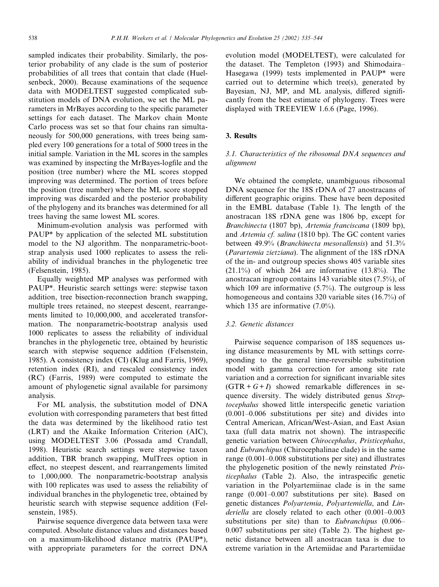sampled indicates their probability. Similarly, the posterior probability of any clade is the sum of posterior probabilities of all trees that contain that clade (Huelsenbeck, 2000). Because examinations of the sequence data with MODELTEST suggested complicated substitution models of DNA evolution, we set the ML parameters in MrBayes according to the specific parameter settings for each dataset. The Markov chain Monte Carlo process was set so that four chains ran simultaneously for 500,000 generations, with trees being sampled every 100 generations for a total of 5000 trees in the initial sample. Variation in the ML scores in the samples was examined by inspecting the MrBayes-logfile and the position (tree number) where the ML scores stopped improving was determined. The portion of trees before the position (tree number) where the ML score stopped improving was discarded and the posterior probability of the phylogeny and its branches was determined for all trees having the same lowest ML scores.

Minimum-evolution analysis was performed with PAUP\* by application of the selected ML substitution model to the NJ algorithm. The nonparametric-bootstrap analysis used 1000 replicates to assess the reliability of individual branches in the phylogenetic tree (Felsenstein, 1985).

Equally weighted MP analyses was performed with PAUP\*. Heuristic search settings were: stepwise taxon addition, tree bisection-reconnection branch swapping, multiple trees retained, no steepest descent, rearrangements limited to 10,000,000, and accelerated transformation. The nonparametric-bootstrap analysis used 1000 replicates to assess the reliability of individual branches in the phylogenetic tree, obtained by heuristic search with stepwise sequence addition (Felsenstein, 1985). A consistency index (CI) (Klug and Farris, 1969), retention index (RI), and rescaled consistency index (RC) (Farris, 1989) were computed to estimate the amount of phylogenetic signal available for parsimony analysis.

For ML analysis, the substitution model of DNA evolution with corresponding parameters that best fitted the data was determined by the likelihood ratio test (LRT) and the Akaike Information Criterion (AIC), using MODELTEST 3.06 (Possada amd Crandall, 1998). Heuristic search settings were stepwise taxon addition, TBR branch swapping, MulTrees option in effect, no steepest descent, and rearrangements limited to 1,000,000. The nonparametric-bootstrap analysis with 100 replicates was used to assess the reliability of individual branches in the phylogenetic tree, obtained by heuristic search with stepwise sequence addition (Felsenstein, 1985).

Pairwise sequence divergence data between taxa were computed. Absolute distance values and distances based on a maximum-likelihood distance matrix (PAUP\*), with appropriate parameters for the correct DNA

evolution model (MODELTEST), were calculated for the dataset. The Templeton (1993) and Shimodaira– Hasegawa (1999) tests implemented in PAUP\* were carried out to determine which tree(s), generated by Bayesian, NJ, MP, and ML analysis, differed significantly from the best estimate of phylogeny. Trees were displayed with TREEVIEW 1.6.6 (Page, 1996).

#### 3. Results

# 3.1. Characteristics of the ribosomal DNA sequences and alignment

We obtained the complete, unambiguous ribosomal DNA sequence for the 18S rDNA of 27 anostracans of different geographic origins. These have been deposited in the EMBL database (Table 1). The length of the anostracan 18S rDNA gene was 1806 bp, except for Branchinecta (1807 bp), Artemia franciscana (1809 bp), and Artemia cf. salina (1810 bp). The GC content varies between 49.9% (Branchinecta mesovallensis) and 51.3% (Parartemia zietziana). The alignment of the 18S rDNA of the in- and outgroup species shows 405 variable sites  $(21.1\%)$  of which 264 are informative  $(13.8\%)$ . The anostracan ingroup contains 143 variable sites (7.5%), of which 109 are informative (5.7%). The outgroup is less homogeneous and contains 320 variable sites (16.7%) of which 135 are informative  $(7.0\%)$ .

## 3.2. Genetic distances

Pairwise sequence comparison of 18S sequences using distance measurements by ML with settings corresponding to the general time-reversible substitution model with gamma correction for among site rate variation and a correction for significant invariable sites  $(GTR + G + I)$  showed remarkable differences in sequence diversity. The widely distributed genus Streptocephalus showed little interspecific genetic variation (0.001–0.006 substitutions per site) and divides into Central American, African/West-Asian, and East Asian taxa (full data matrix not shown). The intraspecific genetic variation between Chirocephalus, Pristicephalus, and Eubranchipus (Chirocephalinae clade) is in the same range (0.001–0.008 substitutions per site) and illustrates the phylogenetic position of the newly reinstated Pristicephalus (Table 2). Also, the intraspecific genetic variation in the Polyartemiinae clade is in the same range (0.001–0.007 substitutions per site). Based on genetic distances Polyartemia, Polyartemiella, and Linderiella are closely related to each other (0.001–0.003 substitutions per site) than to Eubranchipus (0.006– 0.007 substitutions per site) (Table 2). The highest genetic distance between all anostracan taxa is due to extreme variation in the Artemiidae and Parartemiidae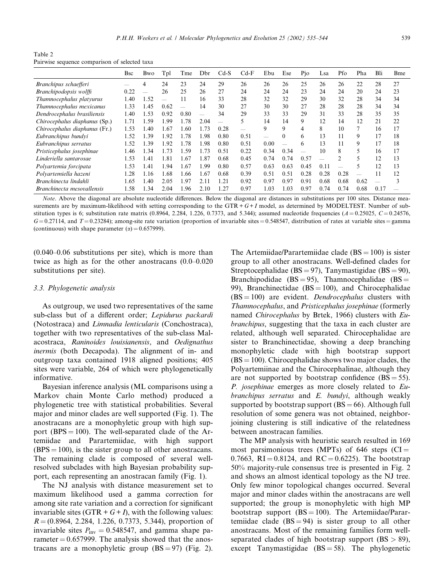Table 2 Pairwise sequence comparison of selected taxa

|                               | <b>Bsc</b> | Bwo        | Tpl  | Tme  | Dbr  | $Cd-S$ | $Cd-F$                   | Ebu  | Ese      | Pjo  | Lsa  | Pfo  | Pha  | Bli  | <b>B</b> me |
|-------------------------------|------------|------------|------|------|------|--------|--------------------------|------|----------|------|------|------|------|------|-------------|
| Branchipus schaefferi         |            |            | 24   | 23   | 24   | 29     | 26                       | 26   | 26       | 25   | 26   | 26   | 22   | 28   | 27          |
| Branchipodopsis wolffi        | 0.22       |            | 26   | 25   | 26   | 27     | 24                       | 24   | 24       | 23   | 24   | 24   | 20   | 24   | 23          |
| Thamnocephalus platyurus      | 1.40       | l.52       | -    | 11   | 16   | 33     | 28                       | 32   | 32       | 29   | 30   | 32   | 28   | 34   | 34          |
| Thamnocephalus mexicanus      | 1.33       | $\pm 4.5$  | 0.62 |      | 14   | 30     | 27                       | 30   | 30       | 27   | 28   | 28   | 28   | 34   | 34          |
| Dendrocephalus brasiliensis   | 1.40       | 1.53       | 0.92 | 0.80 | -    | 34     | 29                       | 33   | 33       | 29   | 31   | 33   | 28   | 35   | 35          |
| Chirocephalus diaphanus (Sp.) | 1.71       | .59        | 1.99 | .78  | 2.04 | -      | 5                        | 14   | 14       | 9    | 12   | 14   | 12   | 21   | 22          |
| Chirocephalus diaphanus (Fr.) | 1.53       | .40        | 1.67 | .60  | 1.73 | 0.28   | $\overline{\phantom{a}}$ | 9    | 9        | 4    | 8    | 10   | 7    | 16   | 17          |
| Eubranchipus bundyi           | 1.52       | 1.39       | 1.92 | 1.78 | 1.98 | 0.80   | 0.51                     | -    | $\Omega$ | 6    | 13   | 11   | 9    | 17   | 18          |
| Eubranchipus serratus         | 1.52       | 1.39       | 1.92 | 1.78 | 1.98 | 0.80   | 0.51                     | 0.00 |          | 6    | 13   | 11   | 9    | 17   | 18          |
| Pristicephalus josephinae     | 1.46       | .34        | 1.73 | .59  | 1.73 | 0.51   | 0.22                     | 0.34 | 0.34     |      | 10   | 8    | 5    | 16   | 17          |
| Linderiella santarosae        | 1.53       | $\vert$ 41 | 1.81 | -67  | 1.87 | 0.68   | 0.45                     | 0.74 | 0.74     | 0.57 |      | C    | 5    | 12   | 13          |
| Polyartemia forcipata         | 1.53       | l .41      | 1.94 | .67  | 1.99 | 0.80   | 0.57                     | 0.63 | 0.63     | 0.45 | 0.11 |      | 5    | 12   | 13          |
| Polvartemiella hazeni         | 1.28       | 1.16       | 1.68 | .66  | 1.67 | 0.68   | 0.39                     | 0.51 | 0.51     | 0.28 | 0.28 | 0.28 |      | 11   | 12          |
| Branchinecta lindahli         | 1.65       | .40        | 2.05 | .97  | 2.11 | 1.21   | 0.92                     | 0.97 | 0.97     | 0.91 | 0.68 | 0.68 | 0.62 |      | 3           |
| Branchinecta mesovallensis    | 1.58       | 1.34       | 2.04 | .96  | 2.10 | 1.27   | 0.97                     | 1.03 | 1.03     | 0.97 | 0.74 | 0.74 | 0.68 | 0.17 |             |

Note. Above the diagonal are absolute nucleotide differences. Below the diagonal are distances in substitutions per 100 sites. Distance measurements are by maximum-likelihood with setting corresponding to the GTR +  $G+I$  model, as determined by MODELTEST. Number of substitution types is 6; substitution rate matrix  $(0.8964, 2.284, 1.226, 0.7373,$  and 5.344); assumed nucleotide frequencies  $(A = 0.25025, C = 0.24576,$  $G = 0.27114$ , and  $T = 0.23284$ ); among-site rate variation (proportion of invariable sites = 0.548547, distribution of rates at variable sites = gamma (continuous) with shape parameter  $(\alpha) = 0.657999$ ).

(0.040–0.06 substitutions per site), which is more than twice as high as for the other anostracans (0.0–0.020 substitutions per site).

#### 3.3. Phylogenetic analysis

As outgroup, we used two representatives of the same sub-class but of a different order; Lepidurus packardi (Notostraca) and Limnadia lenticularis (Conchostraca), together with two representatives of the sub-class Malacostraca, Raninoides louisianensis, and Oedignathus inermis (both Decapoda). The alignment of in- and outgroup taxa contained 1918 aligned positions; 405 sites were variable, 264 of which were phylogenetically informative.

Bayesian inference analysis (ML comparisons using a Markov chain Monte Carlo method) produced a phylogenetic tree with statistical probabilities. Several major and minor clades are well supported (Fig. 1). The anostracans are a monophyletic group with high support (BPS = 100). The well-separated clade of the Artemiidae and Parartemiidae, with high support  $(BPS = 100)$ , is the sister group to all other anostracans. The remaining clade is composed of several wellresolved subclades with high Bayesian probability support, each representing an anostracan family (Fig. 1).

The NJ analysis with distance measurement set to maximum likelihood used a gamma correction for among site rate variation and a correction for significant invariable sites  $(GTR + G + I)$ , with the following values:  $R = (0.8964, 2.284, 1.226, 0.7373, 5.344)$ , proportion of invariable sites  $P_{\text{inv}} = 0.548547$ , and gamma shape parameter  $= 0.657999$ . The analysis showed that the anostracans are a monophyletic group  $(BS = 97)$  (Fig. 2).

The Artemiidae/Parartemiidae clade  $(BS = 100)$  is sister group to all other anostracans. Well-defined clades for Streptocephalidae (BS = 97), Tanymastigidae (BS = 90), Branchipodidae (BS = 95), Thamnocephalidae (BS = 99), Branchinectidae ( $BS = 100$ ), and Chirocephalidae  $(BS = 100)$  are evident. *Dendrocephalus* clusters with Thamnocephalus, and Pristicephalus josephinae (formerly named Chirocephalus by Brtek, 1966) clusters with Eubranchipus, suggesting that the taxa in each cluster are related, although well separated. Chirocephalidae are sister to Branchinectidae, showing a deep branching monophyletic clade with high bootstrap support  $(BS = 100)$ . Chirocephalidae shows two major clades, the Polyartemiinae and the Chirocephalinae, although they are not supported by bootstrap confidence  $(BS = 55)$ . P. josephinae emerges as more closely related to Eubranchipus serratus and E. bundyi, although weakly supported by bootstrap support  $(BS = 66)$ . Although full resolution of some genera was not obtained, neighborjoining clustering is still indicative of the relatedness between anostracan families.

The MP analysis with heuristic search resulted in 169 most parsimonious trees (MPTs) of 646 steps (CI  $=$ 0.7663,  $RI = 0.8124$ , and  $RC = 0.6225$ ). The bootstrap 50% majority-rule consensus tree is presented in Fig. 2 and shows an almost identical topology as the NJ tree. Only few minor topological changes occurred. Several major and minor clades within the anostracans are well supported; the group is monophyletic with high MP bootstrap support  $(BS = 100)$ . The Artemiidae/Parartemiidae clade ( $BS = 94$ ) is sister group to all other anostracans. Most of the remaining families form wellseparated clades of high bootstrap support  $(BS > 89)$ , except Tanymastigidae  $(BS = 58)$ . The phylogenetic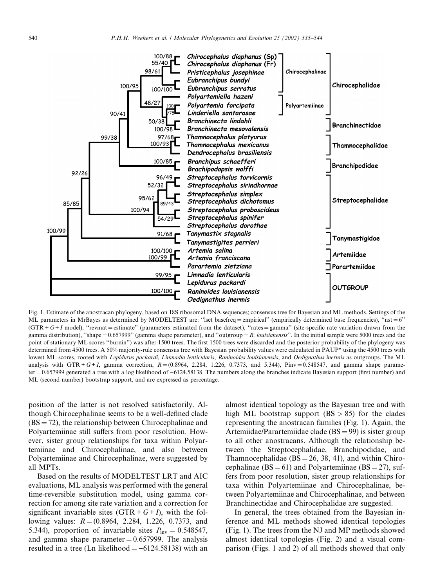

Fig. 1. Estimate of the anostracan phylogeny, based on 18S ribosomal DNA sequences; consensus tree for Bayesian and ML methods. Settings of the ML parameters in MrBayes as determined by MODELTEST are: "lset basefreq = empirical" (empirically determined base frequencies), "nst = 6"  $(GTR + G + I \text{ model})$ , "revmat = estimate" (parameters estimated from the dataset), "rates = gamma" (site-specific rate variation drawn from the gamma distribution), "shape =  $0.657999$ " (gamma shape parameter), and "outgroup = R. louisianensis". In the initial sample were 5000 trees and the point of stationary ML scores ''burnin'') was after 1500 trees. The first 1500 trees were discarded and the posterior probability of the phylogeny was determined from 4500 trees. A 50% majority-rule consensus tree with Bayesian probability values were calculated in PAUP\* using the 4500 trees with lowest ML scores, rooted with Lepidurus packardi, Limnadia lenticularis, Raninoides louisianensis, and Oedignathus inermis as outgroups. The ML analysis with GTR + G + I, gamma correction,  $R = (0.8964, 2.284, 1.226, 0.7373,$  and 5.344), Pinv = 0.548547, and gamma shape parame $ter = 0.657999$  generated a tree with a log likelihood of  $-6124.58138$ . The numbers along the branches indicate Bayesian support (first number) and ML (second number) bootstrap support, and are expressed as percentage.

position of the latter is not resolved satisfactorily. Although Chirocephalinae seems to be a well-defined clade  $(BS = 72)$ , the relationship between Chirocephalinae and Polyartemiinae still suffers from poor resolution. However, sister group relationships for taxa within Polyartemiinae and Chirocephalinae, and also between Polyartemiinae and Chirocephalinae, were suggested by all MPTs.

Based on the results of MODELTEST LRT and AIC evaluations, ML analysis was performed with the general time-reversible substitution model, using gamma correction for among site rate variation and a correction for significant invariable sites  $(GTR + G + I)$ , with the following values:  $R = (0.8964, 2.284, 1.226, 0.7373,$  and 5.344), proportion of invariable sites  $P_{\text{inv}} = 0.548547$ , and gamma shape parameter  $= 0.657999$ . The analysis resulted in a tree (Ln likelihood  $= -6124.58138$ ) with an

almost identical topology as the Bayesian tree and with high ML bootstrap support  $(BS > 85)$  for the clades representing the anostracan families (Fig. 1). Again, the Artemiidae/Parartemiidae clade ( $BS = 99$ ) is sister group to all other anostracans. Although the relationship between the Streptocephalidae, Branchipodidae, and Thamnocephalidae ( $BS = 26$ , 38, 41), and within Chirocephalinae ( $BS = 61$ ) and Polyartemiinae ( $BS = 27$ ), suffers from poor resolution, sister group relationships for taxa within Polyartemiinae and Chirocephalinae, between Polyartemiinae and Chirocephalinae, and between Branchinectidae and Chirocephalidae are suggested.

In general, the trees obtained from the Bayesian inference and ML methods showed identical topologies (Fig. 1). The trees from the NJ and MP methods showed almost identical topologies (Fig. 2) and a visual comparison (Figs. 1 and 2) of all methods showed that only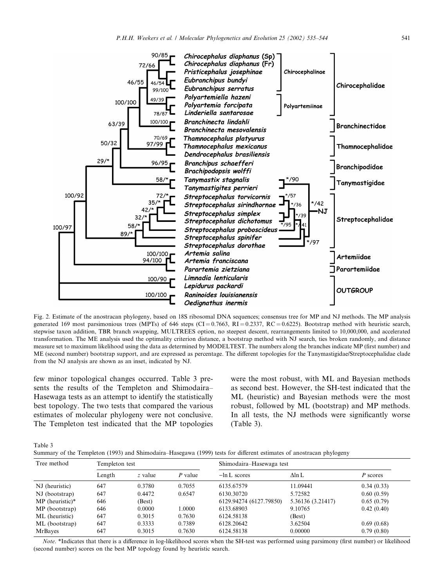

Fig. 2. Estimate of the anostracan phylogeny, based on 18S ribosomal DNA sequences; consensus tree for MP and NJ methods. The MP analysis generated 169 most parsimonious trees (MPTs) of 646 steps (CI =  $0.7663$ , RI =  $0.2337$ , RC =  $0.6225$ ). Bootstrap method with heuristic search, stepwise taxon addition, TBR branch swapping, MULTREES option, no steepest descent, rearrangements limited to 10,000,000, and accelerated transformation. The ME analysis used the optimality criterion distance, a bootstrap method with NJ search, ties broken randomly, and distance measure set to maximum likelihood using the data as determined by MODELTEST. The numbers along the branches indicate MP (first number) and ME (second number) bootstrap support, and are expressed as percentage. The different topologies for the Tanymastigidae/Streptocephalidae clade from the NJ analysis are shown as an inset, indicated by NJ.

few minor topological changes occurred. Table 3 presents the results of the Templeton and Shimodaira– Hasewaga tests as an attempt to identify the statistically best topology. The two tests that compared the various estimates of molecular phylogeny were not conclusive. The Templeton test indicated that the MP topologies

were the most robust, with ML and Bayesian methods as second best. However, the SH-test indicated that the ML (heuristic) and Bayesian methods were the most robust, followed by ML (bootstrap) and MP methods. In all tests, the NJ methods were significantly worse (Table 3).

Table 3

Summary of the Templeton (1993) and Shimodaira–Hasegawa (1999) tests for different estimates of anostracan phylogeny

| Tree method       | Templeton test |         |         | Shimodaira-Hasewaga test |                   |            |  |
|-------------------|----------------|---------|---------|--------------------------|-------------------|------------|--|
|                   | Length         | z value | P value | $-\ln L$ scores          | $\Delta$ ln L     | P scores   |  |
| NJ (heuristic)    | 647            | 0.3780  | 0.7055  | 6135.67579               | 11.09441          | 0.34(0.33) |  |
| NJ (bootstrap)    | 647            | 0.4472  | 0.6547  | 6130.30720               | 5.72582           | 0.60(0.59) |  |
| $MP$ (heuristic)* | 646            | (Best)  |         | 6129.94274 (6127.79850)  | 5.36136 (3.21417) | 0.65(0.79) |  |
| MP (bootstrap)    | 646            | 0.0000  | 1.0000  | 6133.68903               | 9.10765           | 0.42(0.40) |  |
| ML (heuristic)    | 647            | 0.3015  | 0.7630  | 6124.58138               | (Best)            |            |  |
| ML (bootstrap)    | 647            | 0.3333  | 0.7389  | 6128.20642               | 3.62504           | 0.69(0.68) |  |
| MrBayes           | 647            | 0.3015  | 0.7630  | 6124.58138               | 0.00000           | 0.79(0.80) |  |

Note. \*Indicates that there is a difference in log-likelihood scores when the SH-test was performed using parsimony (first number) or likelihood (second number) scores on the best MP topology found by heuristic search.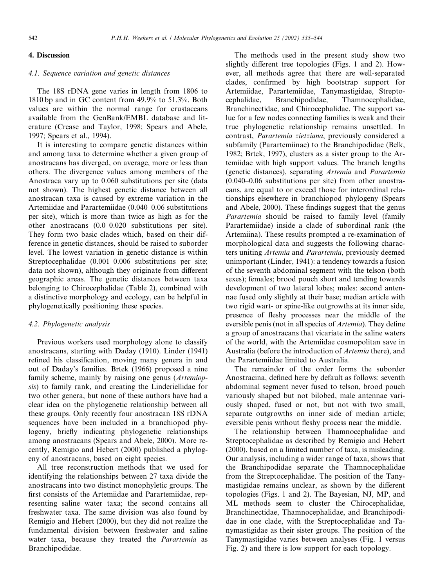## 4. Discussion

#### 4.1. Sequence variation and genetic distances

The 18S rDNA gene varies in length from 1806 to 1810 bp and in GC content from 49.9% to 51.3%. Both values are within the normal range for crustaceans available from the GenBank/EMBL database and literature (Crease and Taylor, 1998; Spears and Abele, 1997; Spears et al., 1994).

It is interesting to compare genetic distances within and among taxa to determine whether a given group of anostracans has diverged, on average, more or less than others. The divergence values among members of the Anostraca vary up to 0.060 substitutions per site (data not shown). The highest genetic distance between all anostracan taxa is caused by extreme variation in the Artemiidae and Parartemiidae (0.040–0.06 substitutions per site), which is more than twice as high as for the other anostracans (0.0–0.020 substitutions per site). They form two basic clades which, based on their difference in genetic distances, should be raised to suborder level. The lowest variation in genetic distance is within Streptocephalidae (0.001–0.006 substitutions per site; data not shown), although they originate from different geographic areas. The genetic distances between taxa belonging to Chirocephalidae (Table 2), combined with a distinctive morphology and ecology, can be helpful in phylogenetically positioning these species.

#### 4.2. Phylogenetic analysis

Previous workers used morphology alone to classify anostracans, starting with Daday (1910). Linder (1941) refined his classification, moving many genera in and out of Daday's families. Brtek (1966) proposed a nine family scheme, mainly by raising one genus (Artemiopsis) to family rank, and creating the Linderiellidae for two other genera, but none of these authors have had a clear idea on the phylogenetic relationship between all these groups. Only recently four anostracan 18S rDNA sequences have been included in a branchiopod phylogeny, briefly indicating phylogenetic relationships among anostracans (Spears and Abele, 2000). More recently, Remigio and Hebert (2000) published a phylogeny of anostracans, based on eight species.

All tree reconstruction methods that we used for identifying the relationships between 27 taxa divide the anostracans into two distinct monophyletic groups. The first consists of the Artemiidae and Parartemiidae, representing saline water taxa; the second contains all freshwater taxa. The same division was also found by Remigio and Hebert (2000), but they did not realize the fundamental division between freshwater and saline water taxa, because they treated the Parartemia as Branchipodidae.

The methods used in the present study show two slightly different tree topologies (Figs. 1 and 2). However, all methods agree that there are well-separated clades, confirmed by high bootstrap support for Artemiidae, Parartemiidae, Tanymastigidae, Streptocephalidae, Branchipodidae, Thamnocephalidae, Branchinectidae, and Chirocephalidae. The support value for a few nodes connecting families is weak and their true phylogenetic relationship remains unsettled. In contrast, Parartemia zietziana, previously considered a subfamily (Parartemiinae) to the Branchipodidae (Belk, 1982; Brtek, 1997), clusters as a sister group to the Artemiidae with high support values. The branch lengths (genetic distances), separating Artemia and Parartemia (0.040–0.06 substitutions per site) from other anostracans, are equal to or exceed those for interordinal relationships elsewhere in branchiopod phylogeny (Spears and Abele, 2000). These findings suggest that the genus Parartemia should be raised to family level (family Parartemiidae) inside a clade of subordinal rank (the Artemiina). These results prompted a re-examination of morphological data and suggests the following characters uniting Artemia and Parartemia, previously deemed unimportant (Linder, 1941): a tendency towards a fusion of the seventh abdominal segment with the telson (both sexes); females; brood pouch short and tending towards development of two lateral lobes; males: second antennae fused only slightly at their base; median article with two rigid wart- or spine-like outgrowths at its inner side, presence of fleshy processes near the middle of the eversible penis (not in all species of Artemia). They define a group of anostracans that vicariate in the saline waters of the world, with the Artemiidae cosmopolitan save in Australia (before the introduction of Artemia there), and the Parartemiidae limited to Australia.

The remainder of the order forms the suborder Anostracina, defined here by default as follows: seventh abdominal segment never fused to telson, brood pouch variously shaped but not bilobed, male antennae variously shaped, fused or not, but not with two small, separate outgrowths on inner side of median article; eversible penis without fleshy process near the middle.

The relationship between Thamnocephalidae and Streptocephalidae as described by Remigio and Hebert (2000), based on a limited number of taxa, is misleading. Our analysis, including a wider range of taxa, shows that the Branchipodidae separate the Thamnocephalidae from the Streptocephalidae. The position of the Tanymastigidae remains unclear, as shown by the different topologies (Figs. 1 and 2). The Bayesian, NJ, MP, and ML methods seem to cluster the Chirocephalidae, Branchinectidae, Thamnocephalidae, and Branchipodidae in one clade, with the Streptocephalidae and Tanymastigidae as their sister groups. The position of the Tanymastigidae varies between analyses (Fig. 1 versus Fig. 2) and there is low support for each topology.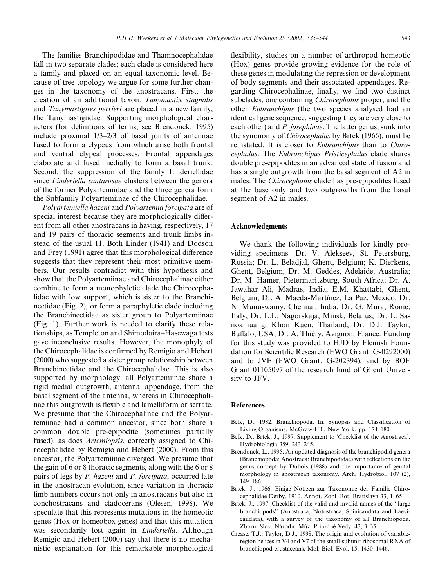The families Branchipodidae and Thamnocephalidae fall in two separate clades; each clade is considered here a family and placed on an equal taxonomic level. Because of tree topology we argue for some further changes in the taxonomy of the anostracans. First, the creation of an additional taxon: Tanymastix stagnalis and Tanymastigites perrieri are placed in a new family, the Tanymastigiidae. Supporting morphological characters (for definitions of terms, see Brendonck, 1995) include proximal 1/3–2/3 of basal joints of antennae fused to form a clypeus from which arise both frontal and ventral clypeal processes. Frontal appendages elaborate and fused medially to form a basal trunk. Second, the suppression of the family Linderiellidae since *Linderiella santarosae* clusters between the genera of the former Polyartemiidae and the three genera form the Subfamily Polyartemiinae of the Chirocephalidae.

Polyartemiella hazeni and Polyartemia forcipata are of special interest because they are morphologically different from all other anostracans in having, respectively, 17 and 19 pairs of thoracic segments and trunk limbs instead of the usual 11. Both Linder (1941) and Dodson and Frey (1991) agree that this morphological difference suggests that they represent their most primitive members. Our results contradict with this hypothesis and show that the Polyartemiinae and Chirocephalinae either combine to form a monophyletic clade the Chirocephalidae with low support, which is sister to the Branchinectidae (Fig. 2), or form a paraphyletic clade including the Branchinectidae as sister group to Polyartemiinae (Fig. 1). Further work is needed to clarify these relationships, as Templeton and Shimodaira–Hasewaga tests gave inconclusive results. However, the monophyly of the Chirocephalidae is confirmed by Remigio and Hebert (2000) who suggested a sister group relationship between Branchinectidae and the Chirocephalidae. This is also supported by morphology: all Polyartemiinae share a rigid medial outgrowth, antennal appendage, from the basal segment of the antenna, whereas in Chirocephalinae this outgrowth is flexible and lamelliform or serrate. We presume that the Chirocephalinae and the Polyartemiinae had a common ancestor, since both share a common double pre-epipodite (sometimes partially fused), as does Artemiopsis, correctly assigned to Chirocephalidae by Remigio and Hebert (2000). From this ancestor, the Polyartemiinae diverged. We presume that the gain of 6 or 8 thoracic segments, along with the 6 or 8 pairs of legs by P. hazeni and P. forcipata, occurred late in the anostracan evolution, since variation in thoracic limb numbers occurs not only in anostracans but also in conchostracans and cladocerans (Olesen, 1998). We speculate that this represents mutations in the homeotic genes (Hox or homeobox genes) and that this mutation was secondarily lost again in *Linderiella*. Although Remigio and Hebert (2000) say that there is no mechanistic explanation for this remarkable morphological flexibility, studies on a number of arthropod homeotic (Hox) genes provide growing evidence for the role of these genes in modulating the repression or development of body segments and their associated appendages. Regarding Chirocephalinae, finally, we find two distinct subclades, one containing *Chirocephalus* proper, and the other Eubranchipus (the two species analysed had an identical gene sequence, suggesting they are very close to each other) and *P. josephinae*. The latter genus, sunk into the synonomy of Chirocephalus by Brtek (1966), must be reinstated. It is closer to *Eubranchipus* than to Chirocephalus. The Eubranchipus Pristicephalus clade shares double pre-epipodites in an advanced state of fusion and has a single outgrowth from the basal segment of A2 in males. The *Chirocephalus* clade has pre-epipodites fused at the base only and two outgrowths from the basal segment of A2 in males.

#### Acknowledgments

We thank the following individuals for kindly providing specimens: Dr. V. Alekseev, St. Petersburg, Russia; Dr. L. Beladjal, Ghent, Belgium; K. Dierkens, Ghent, Belgium; Dr. M. Geddes, Adelaide, Australia; Dr. M. Hamer, Pietermaritzburg, South Africa; Dr. A. Jawahar Ali, Madras, India; E.M. Khattabi, Ghent, Belgium; Dr. A. Maeda-Martínez, La Paz, Mexico; Dr. N. Munuswamy, Chennai, India; Dr. G. Mura, Rome, Italy; Dr. L.L. Nagorskaja, Minsk, Belarus; Dr. L. Sanoamuang, Khon Kaen, Thailand; Dr. D.J. Taylor, Buffalo, USA; Dr. A. Thiéry, Avignon, France. Funding for this study was provided to HJD by Flemish Foundation for Scientific Research (FWO Grant: G-0292000) and to JVF (FWO Grant: G-202394), and by BOF Grant 01105097 of the research fund of Ghent University to JFV.

#### References

- Belk, D., 1982. Branchiopoda. In: Synopsis and Classification of Living Organisms. McGraw-Hill, New York, pp. 174–180.
- Belk, D., Brtek, J., 1997. Supplement to 'Checklist of the Anostraca'. Hydrobiologia 359, 243–245.
- Brendonck, L., 1995. An updated diagnosis of the branchipodid genera (Branchiopoda: Anostraca: Branchipodidae) with reflections on the genus concept by Dubois (1988) and the importance of genital morphology in anostracan taxonomy. Arch. Hydrobiol. 107 (2), 149–186.
- Brtek, J., 1966. Einige Notizen zur Taxonomie der Familie Chirocephalidae Derby, 1910. Annot. Zool. Bot. Bratislava 33, 1–65.
- Brtek, J., 1997. Checklist of the valid and invalid names of the ''large branchiopods'' (Anostraca, Notostraca, Spinicaudata and Laevicaudata), with a survey of the taxonomy of all Branchiopoda. Zborn. Slov. Národn. Múz. Prírodné Vedy. 43, 3-35.
- Crease, T.J., Taylor, D.J., 1998. The origin and evolution of variableregion helices in V4 and V7 of the small-subunit ribosomal RNA of branchiopod crustaceans. Mol. Biol. Evol. 15, 1430–1446.